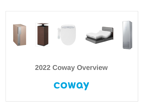

# **2022 Coway Overview**

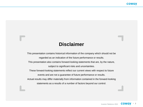# **Disclaimer**

This presentation contains historical information of the company which should not be regarded as an indication of the future performance or results. This presentation also contains forward-looking statements that are, by the nature, subject to significant risks and uncertainties. These forward-looking statements reflect our current views with respect to future events and are not a guarantee of future performance or results. Actual results may differ materially from information contained in the forward-looking statements as a results of a number of factors beyond our control.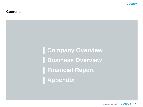### **Contents**

**Company Overview Business Overview Financial Report Appendix**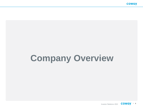# **Company Overview**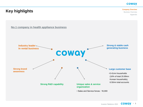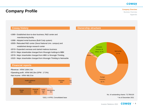#### Company Overview

Business Overview Appendix

**Company Profile**

#### •1989~ Established door-to-door business, R&D center and manufacturing facility

- •1998~ Adopted rental business (Built Cody system)
- •2005~ Relocated R&D center (Seoul National Univ. campus) and established design research center
- •2010~ Expanded overseas and started mattress business
- •2013~ Major shareholder changed form Woongjin holdings to MBK
- •2019~ Major shareholder changed form MBK to Woongjin Thinkbig
- •2020~ Major shareholder changed form Woongjin Thinkbig to Netmarble

#### **Financial reports**

•Revenue : KRW 3,664.3 bn

•Operating profit : KRW 640.2bn (OPM : 17.5%)

•Net income : KRW 466.5 bn



\*2021, K-IFRS, Consolidated base





\* As of December 2021

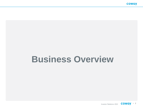# **Business Overview**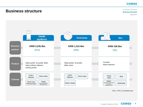Company Overview Business Overview Appendix

#### $00000$ **Health Overseas Etc. appliance KRW 2,245.3bn KRW 1,312.4bn Revenue KRW 106.5bn portion\*** (61%) (36%) (3%) Cosmetic, Water purifier, Air purifier, Bidet, Water purifier, Air purifier, **Product** Water treatment Water softener, Mattress, Bidet, Juicer Clothing purifier CODY<br>Network **CODY** Direct Direct sales Network Direct sales B2B sales **Channel** Retail Home-care Retail Retail / Dealer (Department store/duty-OEM/ODM(Hypermarket/home Professionals free /home shopping/online) shopping/online)

**Business structure**

\*2021, K-IFRS, Consolidated base

Investor Relations 2022 **COWQY** . 8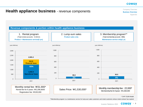# **Health appliance business** - revenue components

Company Overview Business Overview Appendix





\* CHP-7210N Model

\*\*Membership program is a maintenance service for lump-sum sales customers and rental customers whose rental contract has expired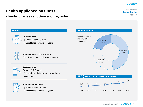Business Overview Appendix

# **Health appliance business**

- Rental business structure and Key index

#### **Details Retention rate** Operational lease : 5 years Financial lease : 5 years ~ 7 years **Maintenance service program** Filter & parts change, cleaning service, etc. Retention rate at maturity: 69% \* As of 2021 Re-rental 48.1% Ownership transfer 30.9% Membership 21.0%



 $\overline{\mathbf{O}}$ 

#### **Service period**

**Contract term**

Every 1/ 2/ 4/ 6 month

\*The service period may vary by product and environment



#### **Minimum rental period**

Operational lease : 3 years Financial lease : 5 years ~ 7 years

#### **PPC (products per customer) trend**



Company Overview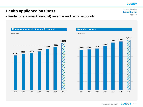Appendix

Company Overview Business Overview

6,018k

**Health appliance business**

- Rental(operational+financial) revenue and rental accounts

**Rental(operational+financial) revenue** (Unit: KRW bn) **Rental accounts** (Unit: accounts) 1,532.0 1,598.0 1,628.8 1,712.8 1,831.0 1,900.6 2,085.2 2015 2016 2017 2018 2019 2020 2021 4,832k 4,849k 4,970k 5,230k 5,688k 5,809k

2015 2016 2017 2018 2019 2020 2021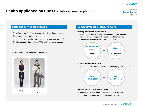# **Health appliance business** - Sales & service platform

Company Overview Business Overview Appendix

- •Cody (Coway lady) Sales & service (Health appliance product) •Direct sales force – Sales only
- •Home-care professionals Sales & service (Home-care product)
- •Service manager Installation & A/S (Health appliance product)

#### ※ **Number of sales & service professionals**



#### **Sales and service organization Competitiveness of Cody network**

#### **•Strong customer relationship**

- Develop new sales + provide maintenance service regularly
- Increase cross selling and decrease cancellation rate by maintaining closer relationship with customers



#### **•Stable income structure**

- Guarantee base service commission by managing 420 accounts



#### **•Minimum service area per Cody**

- High efficiency by covering close area due to scalability
- (Less than 1km<sup>2</sup> per Cody, total accounts 6.02mn)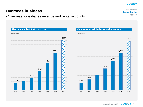Appendix

Company Overview Business Overview

## **Overseas business**

(Unit: KRW bn)

173.9

- Overseas subsidiaries revenue and rental accounts

**Overseas subsidiaries revenue Overseas subsidiaries rental accounts** (Unit: accounts) 222.1 291.3 451.4 647.9 896.1 1,215.1 2015 2016 2017 2018 2019 2020 2021 373k 540k 779k 1,113k 1,508k 1,930k 2,576k 2015 2016 2017 2018 2019 2020 2021

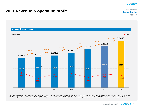# **2021 Revenue & operating profit**

Company Overview Business Overview Appendix

#### **Consolidated base**



1) FY2016 Adj. Revenue: Consolidated KRW 2,444.2 bn (+5.6% YoY), Non-consolidated KRW 2,272.4 bn (+5.1% YoY), excluding revenue reduction of KRW 67.9bn from recall of Ice Water Purifier 2) FY2016 Adj. OP: Consolidated KRW 458.9 bn (-0.9% YoY), Non-consolidated KRW 488.8 bn (+5.6% YoY), excluding reduction of one off cost KRW 120.1bn from recall of Ice Water Purifier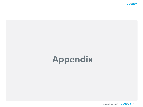# Appendix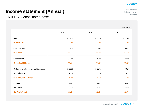Company Overview Business Overview Appendix

# **Income statement (Annual)**

## - K-IFRS, Consolidated base

(Unit: KRW bn)

|                                            | 2019    | 2020    | 2021    |
|--------------------------------------------|---------|---------|---------|
| <b>Sales</b>                               | 3,018.9 | 3,237.4 | 3,664.3 |
| Growth(YoY)                                | 11.5%   | 7.2%    | 13.2%   |
| <b>Cost of Sales</b>                       | 1,010.4 | 1,043.9 | 1,275.3 |
| % of sales                                 | 33.5%   | 32.2%   | 34.8%   |
| <b>Gross Profit</b>                        | 2,008.5 | 2,193.5 | 2,388.9 |
| <b>Gross Profit Margin</b>                 | 66.5%   | 67.8%   | 65.2%   |
| <b>Selling and Administrative Expenses</b> | 1.550.2 | 1.587.1 | 1.748.7 |
| <b>Operating Profit</b>                    | 458.3   | 606.4   | 640.2   |
| <b>Operating Profit Margin</b>             | 15.2%   | 18.7%   | 17.5%   |
| <b>Income Tax</b>                          | 119.2   | 135.7   | 193.1   |
| <b>Net Profit</b>                          | 332.2   | 404.7   | 465.5   |
| <b>Net Profit Margin</b>                   | 11.0%   | 12.5%   | 12.7%   |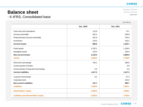Company Overview Business Overview Appendix

# **Balance sheet**

- K-IFRS, Consolidated base

(Unit: KRW bn)

|                                             | Dec. 2020 | Dec. 2021 |
|---------------------------------------------|-----------|-----------|
| Cash and cash equivalents                   | 115.8     | 73.1      |
| Account receivable                          | 362.4     | 290.8     |
| Financial lease Account receivable          | 261.9     | 478.3     |
| Inventories                                 | 134.0     | 233.2     |
| <b>Current Assets</b>                       | 896.9     | 1,104.7   |
| <b>Fixed assets</b>                         | 1,225.1   | 1,159.9   |
| Intangible assets                           | 140.4     | 182.9     |
| <b>Non-current Assets</b>                   | 2,132.2   | 2,690.9   |
| <b>Assets</b>                               | 3,029.0   | 3,795.6   |
| Short-term borrowings                       | 700.1     | 386.8     |
| Current portion of bonds                    |           | 0.9       |
| Current portion of long-term borrowings     | 0.5       | 0.6       |
| <b>Current Liabilities</b>                  | 1,417.3   | 1,417.3   |
| Long-term borrowings                        | 9.4       | 37.4      |
| Corporate bond                              |           | 419.0     |
| <b>Non-current Liabilities</b>              | 121.7     | 599.7     |
| <b>Liabilities</b>                          | 1,539.0   | 1,891.1   |
| <b>Shareholders' equity</b>                 | 1,490.0   | 1,904.4   |
| <b>Liabilities and Shareholders' equity</b> | 3,029.0   | 3,795.6   |